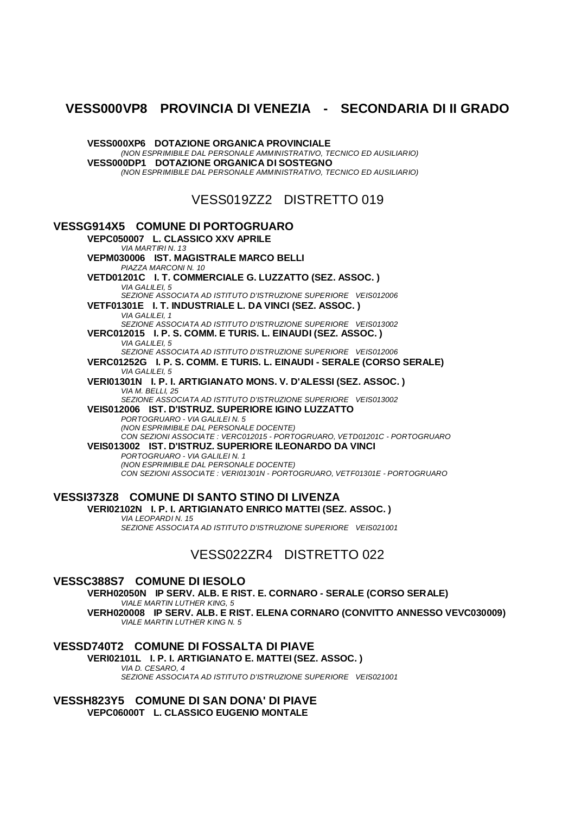## **VESS000VP8 PROVINCIA DI VENEZIA - SECONDARIA DI II GRADO**

**VESS000XP6 DOTAZIONE ORGANICA PROVINCIALE** *(NON ESPRIMIBILE DAL PERSONALE AMMINISTRATIVO, TECNICO ED AUSILIARIO)* **VESS000DP1 DOTAZIONE ORGANICA DI SOSTEGNO** *(NON ESPRIMIBILE DAL PERSONALE AMMINISTRATIVO, TECNICO ED AUSILIARIO)* VESS019ZZ2 DISTRETTO 019 **VESSG914X5 COMUNE DI PORTOGRUARO VEPC050007 L. CLASSICO XXV APRILE** *VIA MARTIRI N. 13* **VEPM030006 IST. MAGISTRALE MARCO BELLI** *PIAZZA MARCONI N. 10* **VETD01201C I. T. COMMERCIALE G. LUZZATTO (SEZ. ASSOC. )** *VIA GALILEI, 5 SEZIONE ASSOCIATA AD ISTITUTO D'ISTRUZIONE SUPERIORE VEIS012006* **VETF01301E I. T. INDUSTRIALE L. DA VINCI (SEZ. ASSOC. )** *VIA GALILEI, 1 SEZIONE ASSOCIATA AD ISTITUTO D'ISTRUZIONE SUPERIORE VEIS013002* **VERC012015 I. P. S. COMM. E TURIS. L. EINAUDI (SEZ. ASSOC. )** *VIA GALILEI, 5 SEZIONE ASSOCIATA AD ISTITUTO D'ISTRUZIONE SUPERIORE VEIS012006* **VERC01252G I. P. S. COMM. E TURIS. L. EINAUDI - SERALE (CORSO SERALE)** *VIA GALILEI, 5* **VERI01301N I. P. I. ARTIGIANATO MONS. V. D'ALESSI (SEZ. ASSOC. )** *VIA M. BELLI, 25 SEZIONE ASSOCIATA AD ISTITUTO D'ISTRUZIONE SUPERIORE VEIS013002* **VEIS012006 IST. D'ISTRUZ. SUPERIORE IGINO LUZZATTO** *PORTOGRUARO - VIA GALILEI N. 5 (NON ESPRIMIBILE DAL PERSONALE DOCENTE) CON SEZIONI ASSOCIATE : VERC012015 - PORTOGRUARO, VETD01201C - PORTOGRUARO* **VEIS013002 IST. D'ISTRUZ. SUPERIORE ILEONARDO DA VINCI** *PORTOGRUARO - VIA GALILEI N. 1 (NON ESPRIMIBILE DAL PERSONALE DOCENTE) CON SEZIONI ASSOCIATE : VERI01301N - PORTOGRUARO, VETF01301E - PORTOGRUARO* **VESSI373Z8 COMUNE DI SANTO STINO DI LIVENZA VERI02102N I. P. I. ARTIGIANATO ENRICO MATTEI (SEZ. ASSOC. )**

*VIA LEOPARDI N. 15 SEZIONE ASSOCIATA AD ISTITUTO D'ISTRUZIONE SUPERIORE VEIS021001*

VESS022ZR4 DISTRETTO 022

#### **VESSC388S7 COMUNE DI IESOLO**

**VERH02050N IP SERV. ALB. E RIST. E. CORNARO - SERALE (CORSO SERALE)** *VIALE MARTIN LUTHER KING, 5* **VERH020008 IP SERV. ALB. E RIST. ELENA CORNARO (CONVITTO ANNESSO VEVC030009)** *VIALE MARTIN LUTHER KING N. 5*

### **VESSD740T2 COMUNE DI FOSSALTA DI PIAVE**

**VERI02101L I. P. I. ARTIGIANATO E. MATTEI (SEZ. ASSOC. )** *VIA D. CESARO, 4*

*SEZIONE ASSOCIATA AD ISTITUTO D'ISTRUZIONE SUPERIORE VEIS021001*

**VESSH823Y5 COMUNE DI SAN DONA' DI PIAVE VEPC06000T L. CLASSICO EUGENIO MONTALE**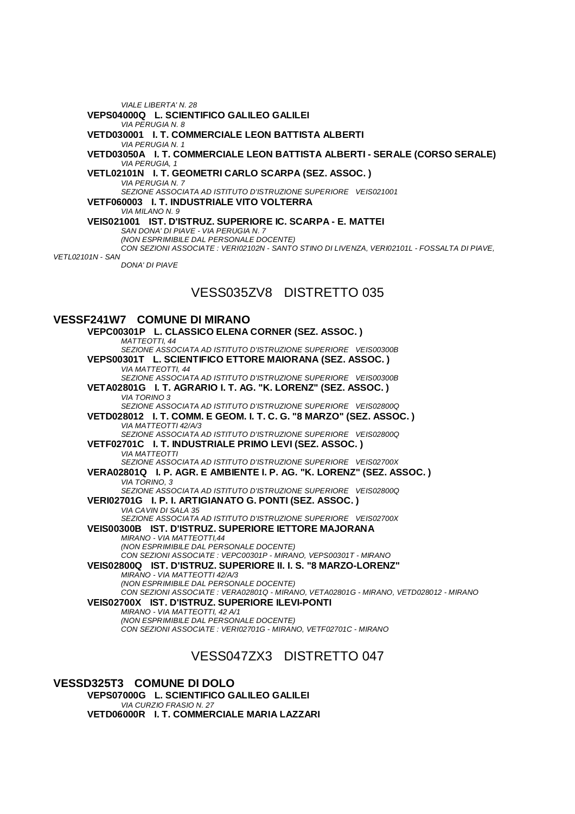*VIALE LIBERTA' N. 28* **VEPS04000Q L. SCIENTIFICO GALILEO GALILEI** *VIA PERUGIA N. 8* **VETD030001 I. T. COMMERCIALE LEON BATTISTA ALBERTI** *VIA PERUGIA N. 1* **VETD03050A I. T. COMMERCIALE LEON BATTISTA ALBERTI - SERALE (CORSO SERALE)** *VIA PERUGIA, 1* **VETL02101N I. T. GEOMETRI CARLO SCARPA (SEZ. ASSOC. )** *VIA PERUGIA N. 7 SEZIONE ASSOCIATA AD ISTITUTO D'ISTRUZIONE SUPERIORE VEIS021001* **VETF060003 I. T. INDUSTRIALE VITO VOLTERRA** *VIA MILANO N. 9* **VEIS021001 IST. D'ISTRUZ. SUPERIORE IC. SCARPA - E. MATTEI** *SAN DONA' DI PIAVE - VIA PERUGIA N. 7 (NON ESPRIMIBILE DAL PERSONALE DOCENTE) CON SEZIONI ASSOCIATE : VERI02102N - SANTO STINO DI LIVENZA, VERI02101L - FOSSALTA DI PIAVE, VETL02101N - SAN DONA' DI PIAVE*

# VESS035ZV8 DISTRETTO 035

#### **VESSF241W7 COMUNE DI MIRANO**

**VEPC00301P L. CLASSICO ELENA CORNER (SEZ. ASSOC. )** *MATTEOTTI, 44 SEZIONE ASSOCIATA AD ISTITUTO D'ISTRUZIONE SUPERIORE VEIS00300B* **VEPS00301T L. SCIENTIFICO ETTORE MAIORANA (SEZ. ASSOC. )** *VIA MATTEOTTI, 44 SEZIONE ASSOCIATA AD ISTITUTO D'ISTRUZIONE SUPERIORE VEIS00300B* **VETA02801G I. T. AGRARIO I. T. AG. "K. LORENZ" (SEZ. ASSOC. )** *VIA TORINO 3 SEZIONE ASSOCIATA AD ISTITUTO D'ISTRUZIONE SUPERIORE VEIS02800Q* **VETD028012 I. T. COMM. E GEOM. I. T. C. G. "8 MARZO" (SEZ. ASSOC. )** *VIA MATTEOTTI 42/A/3 SEZIONE ASSOCIATA AD ISTITUTO D'ISTRUZIONE SUPERIORE VEIS02800Q* **VETF02701C I. T. INDUSTRIALE PRIMO LEVI (SEZ. ASSOC. )** *VIA MATTEOTTI SEZIONE ASSOCIATA AD ISTITUTO D'ISTRUZIONE SUPERIORE VEIS02700X* **VERA02801Q I. P. AGR. E AMBIENTE I. P. AG. "K. LORENZ" (SEZ. ASSOC. )** *VIA TORINO, 3 SEZIONE ASSOCIATA AD ISTITUTO D'ISTRUZIONE SUPERIORE VEIS02800Q* **VERI02701G I. P. I. ARTIGIANATO G. PONTI (SEZ. ASSOC. )** *VIA CAVIN DI SALA 35 SEZIONE ASSOCIATA AD ISTITUTO D'ISTRUZIONE SUPERIORE VEIS02700X* **VEIS00300B IST. D'ISTRUZ. SUPERIORE IETTORE MAJORANA** *MIRANO - VIA MATTEOTTI,44 (NON ESPRIMIBILE DAL PERSONALE DOCENTE) CON SEZIONI ASSOCIATE : VEPC00301P - MIRANO, VEPS00301T - MIRANO* **VEIS02800Q IST. D'ISTRUZ. SUPERIORE II. I. S. "8 MARZO-LORENZ"** *MIRANO - VIA MATTEOTTI 42/A/3 (NON ESPRIMIBILE DAL PERSONALE DOCENTE) CON SEZIONI ASSOCIATE : VERA02801Q - MIRANO, VETA02801G - MIRANO, VETD028012 - MIRANO* **VEIS02700X IST. D'ISTRUZ. SUPERIORE ILEVI-PONTI** *MIRANO - VIA MATTEOTTI, 42 A/1 (NON ESPRIMIBILE DAL PERSONALE DOCENTE) CON SEZIONI ASSOCIATE : VERI02701G - MIRANO, VETF02701C - MIRANO*

## VESS047ZX3 DISTRETTO 047

**VESSD325T3 COMUNE DI DOLO VEPS07000G L. SCIENTIFICO GALILEO GALILEI** *VIA CURZIO FRASIO N. 27* **VETD06000R I. T. COMMERCIALE MARIA LAZZARI**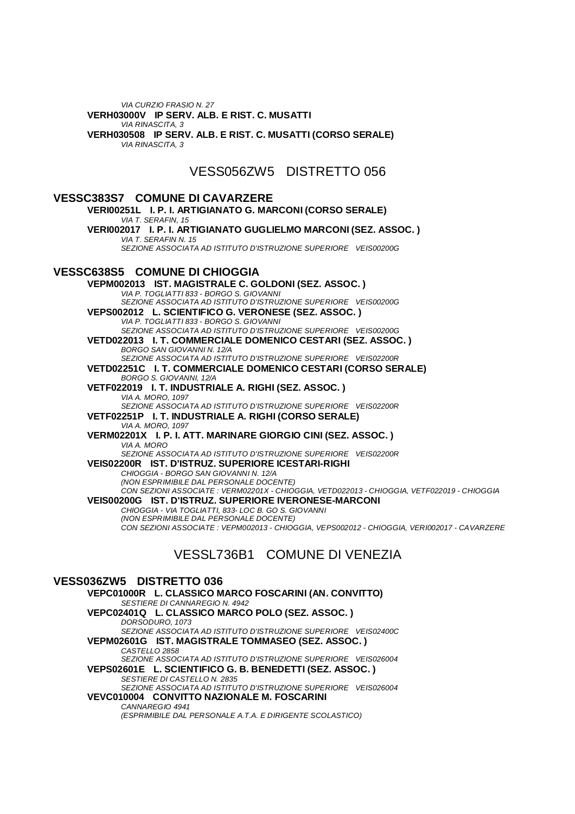*VIA CURZIO FRASIO N. 27* **VERH03000V IP SERV. ALB. E RIST. C. MUSATTI** *VIA RINASCITA, 3* **VERH030508 IP SERV. ALB. E RIST. C. MUSATTI (CORSO SERALE)** *VIA RINASCITA, 3*

VESS056ZW5 DISTRETTO 056

#### **VESSC383S7 COMUNE DI CAVARZERE VERI00251L I. P. I. ARTIGIANATO G. MARCONI (CORSO SERALE)** *VIA T. SERAFIN, 15* **VERI002017 I. P. I. ARTIGIANATO GUGLIELMO MARCONI (SEZ. ASSOC. )** *VIA T. SERAFIN N. 15 SEZIONE ASSOCIATA AD ISTITUTO D'ISTRUZIONE SUPERIORE VEIS00200G* **VESSC638S5 COMUNE DI CHIOGGIA VEPM002013 IST. MAGISTRALE C. GOLDONI (SEZ. ASSOC. )** *VIA P. TOGLIATTI 833 - BORGO S. GIOVANNI SEZIONE ASSOCIATA AD ISTITUTO D'ISTRUZIONE SUPERIORE VEIS00200G* **VEPS002012 L. SCIENTIFICO G. VERONESE (SEZ. ASSOC. )** *VIA P. TOGLIATTI 833 - BORGO S. GIOVANNI SEZIONE ASSOCIATA AD ISTITUTO D'ISTRUZIONE SUPERIORE VEIS00200G* **VETD022013 I. T. COMMERCIALE DOMENICO CESTARI (SEZ. ASSOC. )** *BORGO SAN GIOVANNI N. 12/A SEZIONE ASSOCIATA AD ISTITUTO D'ISTRUZIONE SUPERIORE VEIS02200R* **VETD02251C I. T. COMMERCIALE DOMENICO CESTARI (CORSO SERALE)** *BORGO S. GIOVANNI, 12/A* **VETF022019 I. T. INDUSTRIALE A. RIGHI (SEZ. ASSOC. )** *VIA A. MORO, 1097 SEZIONE ASSOCIATA AD ISTITUTO D'ISTRUZIONE SUPERIORE VEIS02200R* **VETF02251P I. T. INDUSTRIALE A. RIGHI (CORSO SERALE)** *VIA A. MORO, 1097* **VERM02201X I. P. I. ATT. MARINARE GIORGIO CINI (SEZ. ASSOC. )** *VIA A. MORO SEZIONE ASSOCIATA AD ISTITUTO D'ISTRUZIONE SUPERIORE VEIS02200R* **VEIS02200R IST. D'ISTRUZ. SUPERIORE ICESTARI-RIGHI** *CHIOGGIA - BORGO SAN GIOVANNI N. 12/A (NON ESPRIMIBILE DAL PERSONALE DOCENTE) CON SEZIONI ASSOCIATE : VERM02201X - CHIOGGIA, VETD022013 - CHIOGGIA, VETF022019 - CHIOGGIA* **VEIS00200G IST. D'ISTRUZ. SUPERIORE IVERONESE-MARCONI** *CHIOGGIA - VIA TOGLIATTI, 833- LOC B. GO S. GIOVANNI (NON ESPRIMIBILE DAL PERSONALE DOCENTE) CON SEZIONI ASSOCIATE : VEPM002013 - CHIOGGIA, VEPS002012 - CHIOGGIA, VERI002017 - CAVARZERE* VESSL736B1 COMUNE DI VENEZIA

#### **VESS036ZW5 DISTRETTO 036 VEPC01000R L. CLASSICO MARCO FOSCARINI (AN. CONVITTO)** *SESTIERE DI CANNAREGIO N. 4942* **VEPC02401Q L. CLASSICO MARCO POLO (SEZ. ASSOC. )** *DORSODURO, 1073 SEZIONE ASSOCIATA AD ISTITUTO D'ISTRUZIONE SUPERIORE VEIS02400C* **VEPM02601G IST. MAGISTRALE TOMMASEO (SEZ. ASSOC. )** *CASTELLO 2858 SEZIONE ASSOCIATA AD ISTITUTO D'ISTRUZIONE SUPERIORE VEIS026004* **VEPS02601E L. SCIENTIFICO G. B. BENEDETTI (SEZ. ASSOC. )** *SESTIERE DI CASTELLO N. 2835 SEZIONE ASSOCIATA AD ISTITUTO D'ISTRUZIONE SUPERIORE VEIS026004* **VEVC010004 CONVITTO NAZIONALE M. FOSCARINI** *CANNAREGIO 4941 (ESPRIMIBILE DAL PERSONALE A.T.A. E DIRIGENTE SCOLASTICO)*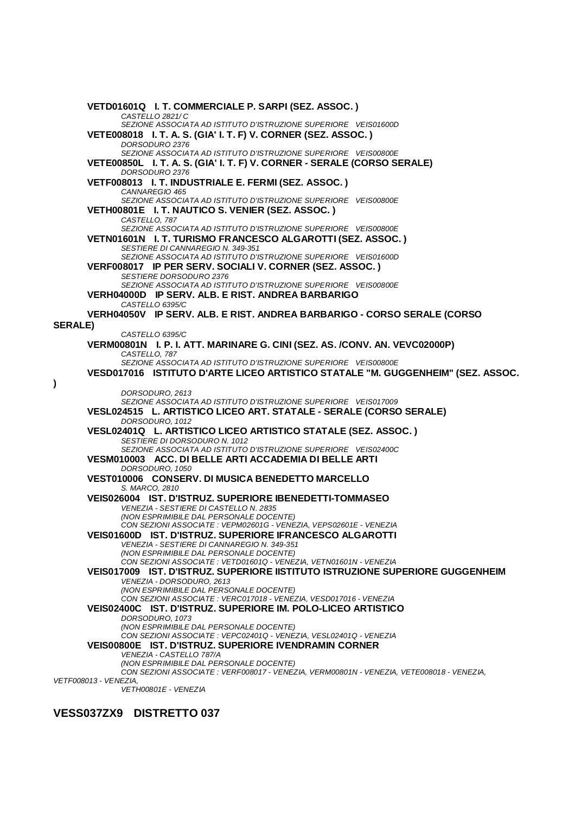**VETD01601Q I. T. COMMERCIALE P. SARPI (SEZ. ASSOC. )** *CASTELLO 2821/ C SEZIONE ASSOCIATA AD ISTITUTO D'ISTRUZIONE SUPERIORE VEIS01600D* **VETE008018 I. T. A. S. (GIA' I. T. F) V. CORNER (SEZ. ASSOC. )** *DORSODURO 2376 SEZIONE ASSOCIATA AD ISTITUTO D'ISTRUZIONE SUPERIORE VEIS00800E* **VETE00850L I. T. A. S. (GIA' I. T. F) V. CORNER - SERALE (CORSO SERALE)** *DORSODURO 2376* **VETF008013 I. T. INDUSTRIALE E. FERMI (SEZ. ASSOC. )** *CANNAREGIO 465 SEZIONE ASSOCIATA AD ISTITUTO D'ISTRUZIONE SUPERIORE VEIS00800E* **VETH00801E I. T. NAUTICO S. VENIER (SEZ. ASSOC. )** *CASTELLO, 787 SEZIONE ASSOCIATA AD ISTITUTO D'ISTRUZIONE SUPERIORE VEIS00800E* **VETN01601N I. T. TURISMO FRANCESCO ALGAROTTI (SEZ. ASSOC. )** *SESTIERE DI CANNAREGIO N. 349-351 SEZIONE ASSOCIATA AD ISTITUTO D'ISTRUZIONE SUPERIORE VEIS01600D* **VERF008017 IP PER SERV. SOCIALI V. CORNER (SEZ. ASSOC. )** *SESTIERE DORSODURO 2376 SEZIONE ASSOCIATA AD ISTITUTO D'ISTRUZIONE SUPERIORE VEIS00800E* **VERH04000D IP SERV. ALB. E RIST. ANDREA BARBARIGO** *CASTELLO 6395/C* **VERH04050V IP SERV. ALB. E RIST. ANDREA BARBARIGO - CORSO SERALE (CORSO SERALE)** *CASTELLO 6395/C* **VERM00801N I. P. I. ATT. MARINARE G. CINI (SEZ. AS. /CONV. AN. VEVC02000P)** *CASTELLO, 787 SEZIONE ASSOCIATA AD ISTITUTO D'ISTRUZIONE SUPERIORE VEIS00800E* **VESD017016 ISTITUTO D'ARTE LICEO ARTISTICO STATALE "M. GUGGENHEIM" (SEZ. ASSOC.**  *DORSODURO, 2613 SEZIONE ASSOCIATA AD ISTITUTO D'ISTRUZIONE SUPERIORE VEIS017009* **VESL024515 L. ARTISTICO LICEO ART. STATALE - SERALE (CORSO SERALE)** *DORSODURO, 1012* **VESL02401Q L. ARTISTICO LICEO ARTISTICO STATALE (SEZ. ASSOC. )** *SESTIERE DI DORSODURO N. 1012 SEZIONE ASSOCIATA AD ISTITUTO D'ISTRUZIONE SUPERIORE VEIS02400C* **VESM010003 ACC. DI BELLE ARTI ACCADEMIA DI BELLE ARTI** *DORSODURO, 1050* **VEST010006 CONSERV. DI MUSICA BENEDETTO MARCELLO** *S. MARCO, 2810* **VEIS026004 IST. D'ISTRUZ. SUPERIORE IBENEDETTI-TOMMASEO** *VENEZIA - SESTIERE DI CASTELLO N. 2835 (NON ESPRIMIBILE DAL PERSONALE DOCENTE) CON SEZIONI ASSOCIATE : VEPM02601G - VENEZIA, VEPS02601E - VENEZIA* **VEIS01600D IST. D'ISTRUZ. SUPERIORE IFRANCESCO ALGAROTTI** *VENEZIA - SESTIERE DI CANNAREGIO N. 349-351 (NON ESPRIMIBILE DAL PERSONALE DOCENTE) CON SEZIONI ASSOCIATE : VETD01601Q - VENEZIA, VETN01601N - VENEZIA* **VEIS017009 IST. D'ISTRUZ. SUPERIORE IISTITUTO ISTRUZIONE SUPERIORE GUGGENHEIM** *VENEZIA - DORSODURO, 2613 (NON ESPRIMIBILE DAL PERSONALE DOCENTE) CON SEZIONI ASSOCIATE : VERC017018 - VENEZIA, VESD017016 - VENEZIA* **VEIS02400C IST. D'ISTRUZ. SUPERIORE IM. POLO-LICEO ARTISTICO** *DORSODURO, 1073 (NON ESPRIMIBILE DAL PERSONALE DOCENTE) CON SEZIONI ASSOCIATE : VEPC02401Q - VENEZIA, VESL02401Q - VENEZIA* **VEIS00800E IST. D'ISTRUZ. SUPERIORE IVENDRAMIN CORNER** *VENEZIA - CASTELLO 787/A (NON ESPRIMIBILE DAL PERSONALE DOCENTE) CON SEZIONI ASSOCIATE : VERF008017 - VENEZIA, VERM00801N - VENEZIA, VETE008018 - VENEZIA, VETF008013 - VENEZIA, VETH00801E - VENEZIA*

### **VESS037ZX9 DISTRETTO 037**

**)**